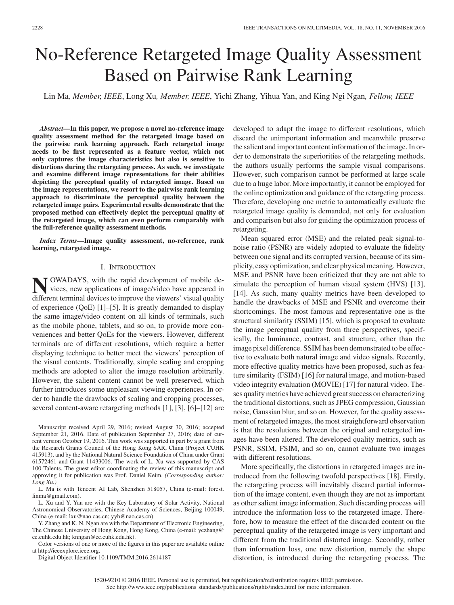# No-Reference Retargeted Image Quality Assessment Based on Pairwise Rank Learning

Lin Ma*, Member, IEEE*, Long Xu*, Member, IEEE*, Yichi Zhang, Yihua Yan, and King Ngi Ngan*, Fellow, IEEE*

*Abstract***—In this paper, we propose a novel no-reference image quality assessment method for the retargeted image based on the pairwise rank learning approach. Each retargeted image needs to be first represented as a feature vector, which not only captures the image characteristics but also is sensitive to distortions during the retargeting process. As such, we investigate and examine different image representations for their abilities depicting the perceptual quality of retargeted image. Based on the image representations, we resort to the pairwise rank learning approach to discriminate the perceptual quality between the retargeted image pairs. Experimental results demonstrate that the proposed method can effectively depict the perceptual quality of the retargeted image, which can even perform comparably with the full-reference quality assessment methods.**

*Index Terms***—Image quality assessment, no-reference, rank learning, retargeted image.**

## I. INTRODUCTION

**N**OWADAYS, with the rapid development of mobile devices, new applications of image/video have appeared in different terminal devices to improve the viewers' visual quality of experience (QoE) [1]–[5]. It is greatly demanded to display the same image/video content on all kinds of terminals, such as the mobile phone, tablets, and so on, to provide more conveniences and better QoEs for the viewers. However, different terminals are of different resolutions, which require a better displaying technique to better meet the viewers' perception of the visual contents. Traditionally, simple scaling and cropping methods are adopted to alter the image resolution arbitrarily. However, the salient content cannot be well preserved, which further introduces some unpleasant viewing experiences. In order to handle the drawbacks of scaling and cropping processes, several content-aware retargeting methods [1], [3], [6]–[12] are

Manuscript received April 29, 2016; revised August 30, 2016; accepted September 21, 2016. Date of publication September 27, 2016; date of current version October 19, 2016. This work was supported in part by a grant from the Research Grants Council of the Hong Kong SAR, China (Project CUHK 415913), and by the National Natural Science Foundation of China under Grant 61572461 and Grant 11433006. The work of L. Xu was supported by CAS 100-Talents. The guest editor coordinating the review of this manuscript and approving it for publication was Prof. Daniel Keim. *(Corresponding author: Long Xu.)*

L. Ma is with Tencent AI Lab, Shenzhen 518057, China (e-mail: forest. linma@gmail.com).

L. Xu and Y. Yan are with the Key Laboratory of Solar Activity, National Astronomical Observatories, Chinese Academy of Sciences, Beijing 100049, China (e-mail: lxu@nao.cas.cn; yyh@nao.cas.cn).

Y. Zhang and K. N. Ngan are with the Department of Electronic Engineering, The Chinese University of Hong Kong, Hong Kong, China (e-mail: yczhang@ ee.cuhk.edu.hk; knngan@ee.cuhk.edu.hk).

Color versions of one or more of the figures in this paper are available online at http://ieeexplore.ieee.org.

Digital Object Identifier 10.1109/TMM.2016.2614187

developed to adapt the image to different resolutions, which discard the unimportant information and meanwhile preserve the salient and important content information of the image. In order to demonstrate the superiorities of the retargeting methods, the authors usually performs the sample visual comparisons. However, such comparison cannot be performed at large scale due to a huge labor. More importantly, it cannot be employed for the online optimization and guidance of the retargeting process. Therefore, developing one metric to automatically evaluate the retargeted image quality is demanded, not only for evaluation and comparison but also for guiding the optimization process of retargeting.

Mean squared error (MSE) and the related peak signal-tonoise ratio (PSNR) are widely adopted to evaluate the fidelity between one signal and its corrupted version, because of its simplicity, easy optimization, and clear physical meaning. However, MSE and PSNR have been criticized that they are not able to simulate the perception of human visual system (HVS) [13], [14]. As such, many quality metrics have been developed to handle the drawbacks of MSE and PSNR and overcome their shortcomings. The most famous and representative one is the structural similarity (SSIM) [15], which is proposed to evaluate the image perceptual quality from three perspectives, specifically, the luminance, contrast, and structure, other than the image pixel difference. SSIM has been demonstrated to be effective to evaluate both natural image and video signals. Recently, more effective quality metrics have been proposed, such as feature similarity (FSIM) [16] for natural image, and motion-based video integrity evaluation (MOVIE) [17] for natural video. Theses quality metrics have achieved great success on characterizing the traditional distortions, such as JPEG compression, Gaussian noise, Gaussian blur, and so on. However, for the quality assessment of retargeted images, the most straightforward observation is that the resolutions between the original and retargeted images have been altered. The developed quality metrics, such as PSNR, SSIM, FSIM, and so on, cannot evaluate two images with different resolutions.

More specifically, the distortions in retargeted images are introduced from the following twofold perspectives [18]. Firstly, the retargeting process will inevitably discard partial information of the image content, even though they are not as important as other salient image information. Such discarding process will introduce the information loss to the retargeted image. Therefore, how to measure the effect of the discarded content on the perceptual quality of the retargeted image is very important and different from the traditional distorted image. Secondly, rather than information loss, one new distortion, namely the shape distortion, is introduced during the retargeting process. The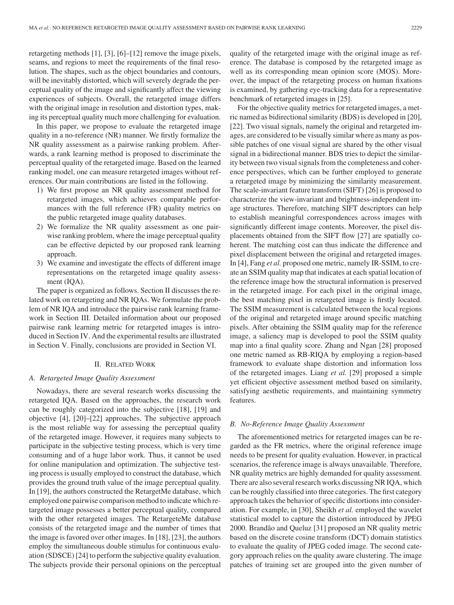retargeting methods [1], [3], [6]–[12] remove the image pixels, seams, and regions to meet the requirements of the final resolution. The shapes, such as the object boundaries and contours, will be inevitably distorted, which will severely degrade the perceptual quality of the image and significantly affect the viewing experiences of subjects. Overall, the retargeted image differs with the original image in resolution and distortion types, making its perceptual quality much more challenging for evaluation.

In this paper, we propose to evaluate the retargeted image quality in a no-reference (NR) manner. We firstly formalize the NR quality assessment as a pairwise ranking problem. Afterwards, a rank learning method is proposed to discriminate the perceptual quality of the retargeted image. Based on the learned ranking model, one can measure retargeted images without references. Our main contributions are listed in the following.

- 1) We first propose an NR quality assessment method for retargeted images, which achieves comparable performances with the full reference (FR) quality metrics on the public retargeted image quality databases.
- 2) We formalize the NR quality assessment as one pairwise ranking problem, where the image perceptual quality can be effective depicted by our proposed rank learning approach.
- 3) We examine and investigate the effects of different image representations on the retargeted image quality assessment (IQA).

The paper is organized as follows. Section II discusses the related work on retargeting and NR IQAs. We formulate the problem of NR IQA and introduce the pairwise rank learning framework in Section III. Detailed information about our proposed pairwise rank learning metric for retargeted images is introduced in Section IV. And the experimental results are illustrated in Section V. Finally, conclusions are provided in Section VI.

### II. RELATED WORK

## *A. Retargeted Image Quality Assessment*

Nowadays, there are several research works discussing the retargeted IQA. Based on the approaches, the research work can be roughly categorized into the subjective [18], [19] and objective [4], [20]–[22] approaches. The subjective approach is the most reliable way for assessing the perceptual quality of the retargeted image. However, it requires many subjects to participate in the subjective testing process, which is very time consuming and of a huge labor work. Thus, it cannot be used for online manipulation and optimization. The subjective testing process is usually employed to construct the database, which provides the ground truth value of the image perceptual quality. In [19], the authors constructed the RetargetMe database, which employed one pairwise comparison method to indicate which retargeted image possesses a better perceptual quality, compared with the other retargeted images. The RetargeteMe database consists of the retargeted image and the number of times that the image is favored over other images. In [18], [23], the authors employ the simultaneous double stimulus for continuous evaluation (SDSCE) [24] to perform the subjective quality evaluation. The subjects provide their personal opinions on the perceptual quality of the retargeted image with the original image as reference. The database is composed by the retargeted image as well as its corresponding mean opinion score (MOS). Moreover, the impact of the retargeting process on human fixations is examined, by gathering eye-tracking data for a representative benchmark of retargeted images in [25].

For the objective quality metrics for retargeted images, a metric named as bidirectional similarity (BDS) is developed in [20], [22]. Two visual signals, namely the original and retargeted images, are considered to be visually similar where as many as possible patches of one visual signal are shared by the other visual signal in a bidirectional manner. BDS tries to depict the similarity between two visual signals from the completeness and coherence perspectives, which can be further employed to generate a retargeted image by minimizing the similarity measurement. The scale-invariant feature transform (SIFT) [26] is proposed to characterize the view-invariant and brightness-independent image structures. Therefore, matching SIFT descriptors can help to establish meaningful correspondences across images with significantly different image contents. Moreover, the pixel displacements obtained from the SIFT flow [27] are spatially coherent. The matching cost can thus indicate the difference and pixel displacement between the original and retargeted images. In [4], Fang *et al.* proposed one metric, namely IR-SSIM, to create an SSIM quality map that indicates at each spatial location of the reference image how the structural information is preserved in the retargeted image. For each pixel in the original image, the best matching pixel in retargeted image is firstly located. The SSIM measurement is calculated between the local regions of the original and retargeted image around specific matching pixels. After obtaining the SSIM quality map for the reference image, a saliency map is developed to pool the SSIM quality map into a final quality score. Zhang and Ngan [28] proposed one metric named as RB-RIQA by employing a region-based framework to evaluate shape distortion and information loss of the retargeted images. Liang *et al.* [29] proposed a simple yet efficient objective assessment method based on similarity, satisfying aesthetic requirements, and maintaining symmetry features.

## *B. No-Reference Image Quality Assessment*

The aforementioned metrics for retargeted images can be regarded as the FR metrics, where the original reference image needs to be present for quality evaluation. However, in practical scenarios, the reference image is always unavailable. Therefore, NR quality metrics are highly demanded for quality assessment. There are also several research works discussing NR IQA, which can be roughly classified into three categories. The first category approach takes the behavior of specific distortions into consideration. For example, in [30], Sheikh *et al.* employed the wavelet statistical model to capture the distortion introduced by JPEG 2000. Brandão and Queluz [31] proposed an NR quality metric based on the discrete cosine transform (DCT) domain statistics to evaluate the quality of JPEG coded image. The second category approach relies on the quality aware clustering. The image patches of training set are grouped into the given number of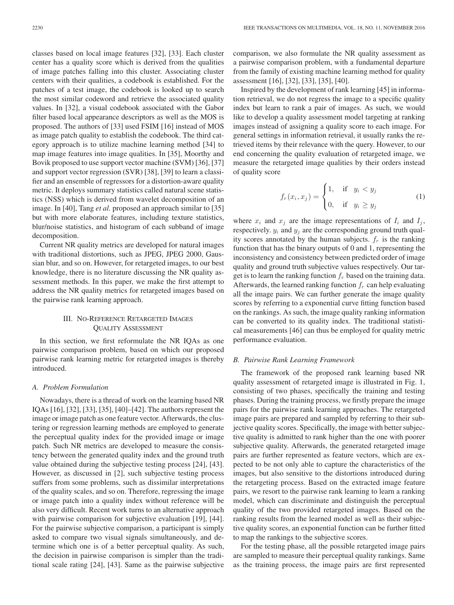classes based on local image features [32], [33]. Each cluster center has a quality score which is derived from the qualities of image patches falling into this cluster. Associating cluster centers with their qualities, a codebook is established. For the patches of a test image, the codebook is looked up to search the most similar codeword and retrieve the associated quality values. In [32], a visual codebook associated with the Gabor filter based local appearance descriptors as well as the MOS is proposed. The authors of [33] used FSIM [16] instead of MOS as image patch quality to establish the codebook. The third category approach is to utilize machine learning method [34] to map image features into image qualities. In [35], Moorthy and Bovik proposed to use support vector machine (SVM) [36], [37] and support vector regression (SVR) [38], [39] to learn a classifier and an ensemble of regressors for a distortion-aware quality metric. It deploys summary statistics called natural scene statistics (NSS) which is derived from wavelet decomposition of an image. In [40], Tang *et al.* proposed an approach similar to [35] but with more elaborate features, including texture statistics, blur/noise statistics, and histogram of each subband of image decomposition.

Current NR quality metrics are developed for natural images with traditional distortions, such as JPEG, JPEG 2000, Gaussian blur, and so on. However, for retargeted images, to our best knowledge, there is no literature discussing the NR quality assessment methods. In this paper, we make the first attempt to address the NR quality metrics for retargeted images based on the pairwise rank learning approach.

# III. NO-REFERENCE RETARGETED IMAGES QUALITY ASSESSMENT

In this section, we first reformulate the NR IQAs as one pairwise comparison problem, based on which our proposed pairwise rank learning metric for retargeted images is thereby introduced.

## *A. Problem Formulation*

Nowadays, there is a thread of work on the learning based NR IQAs [16], [32], [33], [35], [40]–[42]. The authors represent the image or image patch as one feature vector. Afterwards, the clustering or regression learning methods are employed to generate the perceptual quality index for the provided image or image patch. Such NR metrics are developed to measure the consistency between the generated quality index and the ground truth value obtained during the subjective testing process [24], [43]. However, as discussed in [2], such subjective testing process suffers from some problems, such as dissimilar interpretations of the quality scales, and so on. Therefore, regressing the image or image patch into a quality index without reference will be also very difficult. Recent work turns to an alternative approach with pairwise comparison for subjective evaluation [19], [44]. For the pairwise subjective comparison, a participant is simply asked to compare two visual signals simultaneously, and determine which one is of a better perceptual quality. As such, the decision in pairwise comparison is simpler than the traditional scale rating [24], [43]. Same as the pairwise subjective

comparison, we also formulate the NR quality assessment as a pairwise comparison problem, with a fundamental departure from the family of existing machine learning method for quality assessment [16], [32], [33], [35], [40].

Inspired by the development of rank learning [45] in information retrieval, we do not regress the image to a specific quality index but learn to rank a pair of images. As such, we would like to develop a quality assessment model targeting at ranking images instead of assigning a quality score to each image. For general settings in information retrieval, it usually ranks the retrieved items by their relevance with the query. However, to our end concerning the quality evaluation of retargeted image, we measure the retargeted image qualities by their orders instead of quality score

$$
f_r(x_i, x_j) = \begin{cases} 1, & \text{if } y_i < y_j \\ 0, & \text{if } y_i \ge y_j \end{cases}
$$
 (1)

where  $x_i$  and  $x_j$  are the image representations of  $I_i$  and  $I_j$ , respectively.  $y_i$  and  $y_j$  are the corresponding ground truth quality scores annotated by the human subjects.  $f_r$  is the ranking function that has the binary outputs of 0 and 1, representing the inconsistency and consistency between predicted order of image quality and ground truth subjective values respectively. Our target is to learn the ranking function  $f_r$  based on the training data. Afterwards, the learned ranking function  $f_r$  can help evaluating all the image pairs. We can further generate the image quality scores by referring to a exponential curve fitting function based on the rankings. As such, the image quality ranking information can be converted to its quality index. The traditional statistical measurements [46] can thus be employed for quality metric performance evaluation.

### *B. Pairwise Rank Learning Framework*

The framework of the proposed rank learning based NR quality assessment of retargeted image is illustrated in Fig. 1, consisting of two phases, specifically the training and testing phases. During the training process, we firstly prepare the image pairs for the pairwise rank learning approaches. The retargeted image pairs are prepared and sampled by referring to their subjective quality scores. Specifically, the image with better subjective quality is admitted to rank higher than the one with poorer subjective quality. Afterwards, the generated retargeted image pairs are further represented as feature vectors, which are expected to be not only able to capture the characteristics of the images, but also sensitive to the distortions introduced during the retargeting process. Based on the extracted image feature pairs, we resort to the pairwise rank learning to learn a ranking model, which can discriminate and distinguish the perceptual quality of the two provided retargeted images. Based on the ranking results from the learned model as well as their subjective quality scores, an exponential function can be further fitted to map the rankings to the subjective scores.

For the testing phase, all the possible retargeted image pairs are sampled to measure their perceptual quality rankings. Same as the training process, the image pairs are first represented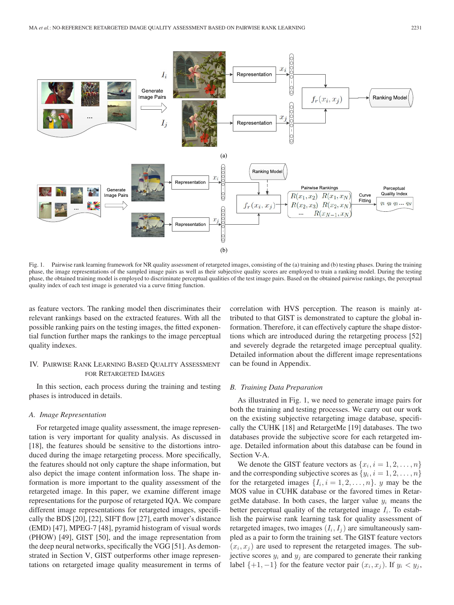

Fig. 1. Pairwise rank learning framework for NR quality assessment of retargeted images, consisting of the (a) training and (b) testing phases. During the training phase, the image representations of the sampled image pairs as well as their subjective quality scores are employed to train a ranking model. During the testing phase, the obtained training model is employed to discriminate perceptual qualities of the test image pairs. Based on the obtained pairwise rankings, the perceptual quality index of each test image is generated via a curve fitting function.

as feature vectors. The ranking model then discriminates their relevant rankings based on the extracted features. With all the possible ranking pairs on the testing images, the fitted exponential function further maps the rankings to the image perceptual quality indexes.

## IV. PAIRWISE RANK LEARNING BASED QUALITY ASSESSMENT FOR RETARGETED IMAGES

In this section, each process during the training and testing phases is introduced in details.

## *A. Image Representation*

For retargeted image quality assessment, the image representation is very important for quality analysis. As discussed in [18], the features should be sensitive to the distortions introduced during the image retargeting process. More specifically, the features should not only capture the shape information, but also depict the image content information loss. The shape information is more important to the quality assessment of the retargeted image. In this paper, we examine different image representations for the purpose of retargeted IQA. We compare different image representations for retargeted images, specifically the BDS [20], [22], SIFT flow [27], earth mover's distance (EMD) [47], MPEG-7 [48], pyramid histogram of visual words (PHOW) [49], GIST [50], and the image representation from the deep neural networks, specifically the VGG [51]. As demonstrated in Section V, GIST outperforms other image representations on retargeted image quality measurement in terms of correlation with HVS perception. The reason is mainly attributed to that GIST is demonstrated to capture the global information. Therefore, it can effectively capture the shape distortions which are introduced during the retargeting process [52] and severely degrade the retargeted image perceptual quality. Detailed information about the different image representations can be found in Appendix.

#### *B. Training Data Preparation*

As illustrated in Fig. 1, we need to generate image pairs for both the training and testing processes. We carry out our work on the existing subjective retargeting image database, specifically the CUHK [18] and RetargetMe [19] databases. The two databases provide the subjective score for each retargeted image. Detailed information about this database can be found in Section V-A.

We denote the GIST feature vectors as  $\{x_i, i = 1, 2, \ldots, n\}$ and the corresponding subjective scores as  $\{y_i, i = 1, 2, \ldots, n\}$ for the retargeted images  $\{I_i, i = 1, 2, \ldots, n\}$ . y may be the MOS value in CUHK database or the favored times in RetargetMe database. In both cases, the larger value  $y_i$  means the better perceptual quality of the retargeted image  $I_i$ . To establish the pairwise rank learning task for quality assessment of retargeted images, two images  $(I_i, I_j)$  are simultaneously sampled as a pair to form the training set. The GIST feature vectors  $(x_i, x_j)$  are used to represent the retargeted images. The subjective scores  $y_i$  and  $y_j$  are compared to generate their ranking label  $\{+1, -1\}$  for the feature vector pair  $(x_i, x_j)$ . If  $y_i < y_j$ ,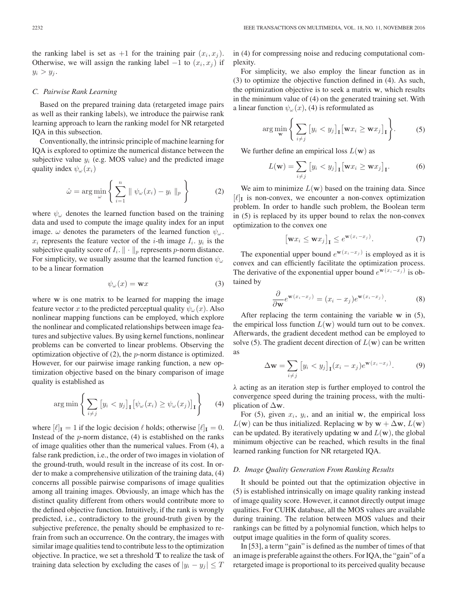the ranking label is set as  $+1$  for the training pair  $(x_i, x_j)$ . Otherwise, we will assign the ranking label  $-1$  to  $(x_i, x_j)$  if  $y_i > y_j$ .

## *C. Pairwise Rank Learning*

Based on the prepared training data (retargeted image pairs as well as their ranking labels), we introduce the pairwise rank learning approach to learn the ranking model for NR retargeted IQA in this subsection.

Conventionally, the intrinsic principle of machine learning for IQA is explored to optimize the numerical distance between the subjective value  $y_i$  (e.g. MOS value) and the predicted image quality index  $\psi_\omega(x_i)$ 

$$
\hat{\omega} = \arg \min_{\omega} \left\{ \sum_{i=1}^{n} \parallel \psi_{\omega}(x_i) - y_i \parallel_p \right\} \tag{2}
$$

where  $\psi_{\omega}$  denotes the learned function based on the training data and used to compute the image quality index for an input image.  $\omega$  denotes the parameters of the learned function  $\psi_{\omega}$ .  $x_i$  represents the feature vector of the *i*-th image  $I_i$ .  $y_i$  is the subjective quality score of  $I_i$ .  $\|\cdot\|_p$  represents p-norm distance. For simplicity, we usually assume that the learned function  $\psi_{\omega}$ to be a linear formation

$$
\psi_{\omega}(x) = \mathbf{w}x \tag{3}
$$

where **w** is one matrix to be learned for mapping the image feature vector x to the predicted perceptual quality  $\psi_{\omega}(x)$ . Also nonlinear mapping functions can be employed, which explore the nonlinear and complicated relationships between image features and subjective values. By using kernel functions, nonlinear problems can be converted to linear problems. Observing the optimization objective of  $(2)$ , the *p*-norm distance is optimized. However, for our pairwise image ranking function, a new optimization objective based on the binary comparison of image quality is established as

$$
\arg\min\left\{\sum_{i\neq j}\left[y_i < y_j\right]_I\left[\psi_\omega(x_i) \geq \psi_\omega(x_j)\right]_I\right\} \tag{4}
$$

where  $[\ell]_I = 1$  if the logic decision  $\ell$  holds; otherwise  $[\ell]_I = 0$ . Instead of the p-norm distance, (4) is established on the ranks of image qualities other than the numerical values. From (4), a false rank prediction, i.e., the order of two images in violation of the ground-truth, would result in the increase of its cost. In order to make a comprehensive utilization of the training data, (4) concerns all possible pairwise comparisons of image qualities among all training images. Obviously, an image which has the distinct quality different from others would contribute more to the defined objective function. Intuitively, if the rank is wrongly predicted, i.e., contradictory to the ground-truth given by the subjective preference, the penalty should be emphasized to refrain from such an occurrence. On the contrary, the images with similar image qualities tend to contribute less to the optimization objective. In practice, we set a threshold **T** to realize the task of training data selection by excluding the cases of  $|y_i - y_j| \leq T$ 

in (4) for compressing noise and reducing computational complexity.

For simplicity, we also employ the linear function as in (3) to optimize the objective function defined in (4). As such, the optimization objective is to seek a matrix **w**, which results in the minimum value of (4) on the generated training set. With a linear function  $\psi_{\omega}(x)$ , (4) is reformulated as

$$
\arg\min_{\mathbf{w}} \left\{ \sum_{i \neq j} \left[ y_i < y_j \right]_I \left[ \mathbf{w} x_i \geq \mathbf{w} x_j \right]_I \right\}.
$$
 (5)

We further define an empirical loss  $L(\mathbf{w})$  as

$$
L(\mathbf{w}) = \sum_{i \neq j} [y_i < y_j]_{\mathbf{I}} [\mathbf{w} x_i \geq \mathbf{w} x_j]_{\mathbf{I}}.\tag{6}
$$

We aim to minimize  $L(w)$  based on the training data. Since  $[\ell]_I$  is non-convex, we encounter a non-convex optimization problem. In order to handle such problem, the Boolean term in (5) is replaced by its upper bound to relax the non-convex optimization to the convex one

$$
\left[\mathbf{w}x_i \leq \mathbf{w}x_j\right]_{\mathbf{I}} \leq e^{\mathbf{w}(x_i - x_j)}.
$$
 (7)

The exponential upper bound  $e^{w(x_i - x_j)}$  is employed as it is convex and can efficiently facilitate the optimization process. The derivative of the exponential upper bound  $e^{w(x_i - x_j)}$  is obtained by

$$
\frac{\partial}{\partial \mathbf{w}} e^{\mathbf{w}(x_i - x_j)} = (x_i - x_j) e^{\mathbf{w}(x_i - x_j)}.
$$
 (8)

After replacing the term containing the variable **w** in (5), the empirical loss function  $L(\mathbf{w})$  would turn out to be convex. Afterwards, the gradient decedent method can be employed to solve (5). The gradient decent direction of  $L(\mathbf{w})$  can be written as

$$
\Delta \mathbf{w} = \sum_{i \neq j} \left[ y_i < y_j \right]_{\mathbf{I}} (x_i - x_j) e^{\mathbf{w}(x_i - x_j)}.
$$
\n(9)

 $\lambda$  acting as an iteration step is further employed to control the convergence speed during the training process, with the multiplication of Δ**w**.

For  $(5)$ , given  $x_i$ ,  $y_i$ , and an initial **w**, the empirical loss  $L(\mathbf{w})$  can be thus initialized. Replacing **w** by  $\mathbf{w} + \Delta \mathbf{w}$ ,  $L(\mathbf{w})$ can be updated. By iteratively updating **w** and  $L(\mathbf{w})$ , the global minimum objective can be reached, which results in the final learned ranking function for NR retargeted IQA.

## *D. Image Quality Generation From Ranking Results*

It should be pointed out that the optimization objective in (5) is established intrinsically on image quality ranking instead of image quality score. However, it cannot directly output image qualities. For CUHK database, all the MOS values are available during training. The relation between MOS values and their rankings can be fitted by a polynomial function, which helps to output image qualities in the form of quality scores.

In [53], a term "gain" is defined as the number of times of that an image is preferable against the others. For IQA, the "gain" of a retargeted image is proportional to its perceived quality because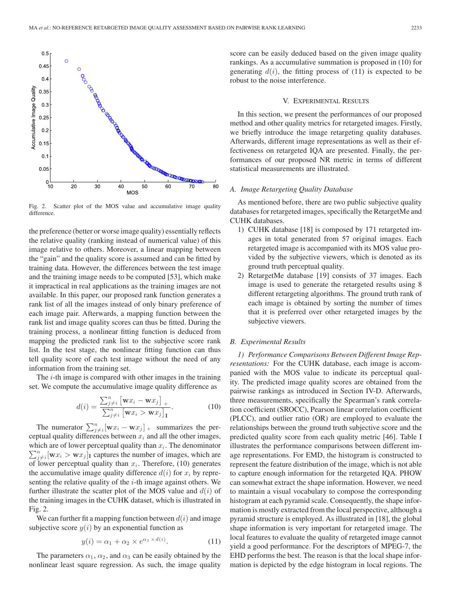

Fig. 2. Scatter plot of the MOS value and accumulative image quality difference.

the preference (better or worse image quality) essentially reflects the relative quality (ranking instead of numerical value) of this image relative to others. Moreover, a linear mapping between the "gain" and the quality score is assumed and can be fitted by training data. However, the differences between the test image and the training image needs to be computed [53], which make it impractical in real applications as the training images are not available. In this paper, our proposed rank function generates a rank list of all the images instead of only binary preference of each image pair. Afterwards, a mapping function between the rank list and image quality scores can thus be fitted. During the training process, a nonlinear fitting function is deduced from mapping the predicted rank list to the subjective score rank list. In the test stage, the nonlinear fitting function can thus tell quality score of each test image without the need of any information from the training set.

The  $i$ -th image is compared with other images in the training set. We compute the accumulative image quality difference as

$$
d(i) = \frac{\sum_{j \neq i}^{n} \left[ \mathbf{w} x_i - \mathbf{w} x_j \right]_+}{\sum_{j \neq i}^{n} \left[ \mathbf{w} x_i > \mathbf{w} x_j \right]_1}.
$$
 (10)

The numerator  $\sum_{j\neq i}^{n} [\mathbf{w}x_i - \mathbf{w}x_j]_{+}$  summarizes the perceptual quality differences between  $x_i$  and all the other images, which are of lower perceptual quality than  $x_i$ . The denominator  $\sum_{n=1}^{n}$  [yrg  $\ge$  yrg  $\frac{1}{n}$  continues the number of images, which are  $\sum_{j \neq i}^{n} [\mathbf{w}x_i > \mathbf{w}x_j]$ <sub>I</sub> captures the number of images, which are of lower perceptual quality than  $x_i$ . Therefore, (10) generates the accumulative image quality difference  $d(i)$  for  $x_i$  by representing the relative quality of the  $i$ -th image against others. We further illustrate the scatter plot of the MOS value and  $d(i)$  of the training images in the CUHK dataset, which is illustrated in Fig. 2.

We can further fit a mapping function between  $d(i)$  and image subjective score  $y(i)$  by an exponential function as

$$
y(i) = \alpha_1 + \alpha_2 \times e^{\alpha_3 \times d(i)}.\tag{11}
$$

The parameters  $\alpha_1, \alpha_2$ , and  $\alpha_3$  can be easily obtained by the nonlinear least square regression. As such, the image quality

score can be easily deduced based on the given image quality rankings. As a accumulative summation is proposed in (10) for generating  $d(i)$ , the fitting process of (11) is expected to be robust to the noise interference.

## V. EXPERIMENTAL RESULTS

In this section, we present the performances of our proposed method and other quality metrics for retargeted images. Firstly, we briefly introduce the image retargeting quality databases. Afterwards, different image representations as well as their effectiveness on retargeted IQA are presented. Finally, the performances of our proposed NR metric in terms of different statistical measurements are illustrated.

#### *A. Image Retargeting Quality Database*

As mentioned before, there are two public subjective quality databases for retargeted images, specifically the RetargetMe and CUHK databases.

- 1) CUHK database [18] is composed by 171 retargeted images in total generated from 57 original images. Each retargeted image is accompanied with its MOS value provided by the subjective viewers, which is denoted as its ground truth perceptual quality.
- 2) RetargetMe database [19] consists of 37 images. Each image is used to generate the retargeted results using 8 different retargeting algorithms. The ground truth rank of each image is obtained by sorting the number of times that it is preferred over other retargeted images by the subjective viewers.

### *B. Experimental Results*

*1) Performance Comparisons Between Different Image Representations:* For the CUHK database, each image is accompanied with the MOS value to indicate its perceptual quality. The predicted image quality scores are obtained from the pairwise rankings as introduced in Section IV-D. Afterwards, three measurements, specifically the Spearman's rank correlation coefficient (SROCC), Pearson linear correlation coefficient (PLCC), and outlier ratio (OR) are employed to evaluate the relationships between the ground truth subjective score and the predicted quality score from each quality metric [46]. Table I illustrates the performance comparisons between different image representations. For EMD, the histogram is constructed to represent the feature distribution of the image, which is not able to capture enough information for the retargeted IQA. PHOW can somewhat extract the shape information. However, we need to maintain a visual vocabulary to compose the corresponding histogram at each pyramid scale. Consequently, the shape information is mostly extracted from the local perspective, although a pyramid structure is employed. As illustrated in [18], the global shape information is very important for retargeted image. The local features to evaluate the quality of retargeted image cannot yield a good performance. For the descriptors of MPEG-7, the EHD performs the best. The reason is that the local shape information is depicted by the edge histogram in local regions. The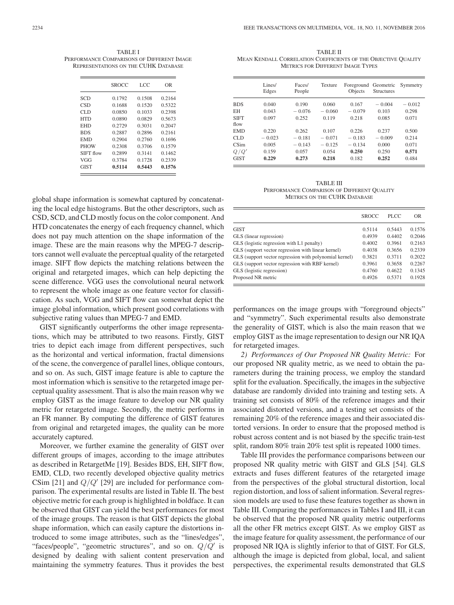PERFORMANCE COMPARISONS OF DIFFERENT IMAGE REPRESENTATIONS ON THE CUHK DATABASE

|             | <b>SROCC</b> | LCC    | 0 <sub>R</sub> |
|-------------|--------------|--------|----------------|
| SCD         | 0.1792       | 0.1508 | 0.2164         |
| <b>CSD</b>  | 0.1688       | 0.1520 | 0.5322         |
| CLD         | 0.0850       | 0.1033 | 0.2398         |
| <b>HTD</b>  | 0.0890       | 0.0829 | 0.5673         |
| <b>EHD</b>  | 0.2729       | 0.3031 | 0.2047         |
| <b>BDS</b>  | 0.2887       | 0.2896 | 0.2161         |
| <b>EMD</b>  | 0.2904       | 0.2760 | 0.1696         |
| <b>PHOW</b> | 0.2308       | 0.3706 | 0.1579         |
| SIFT flow   | 0.2899       | 0.3141 | 0.1462         |
| VGG         | 0.3784       | 0.1728 | 0.2339         |
| <b>GIST</b> | 0.5114       | 0.5443 | 0.1576         |

global shape information is somewhat captured by concatenating the local edge histograms. But the other descriptors, such as CSD, SCD, and CLD mostly focus on the color component. And HTD concatenates the energy of each frequency channel, which does not pay much attention on the shape information of the image. These are the main reasons why the MPEG-7 descriptors cannot well evaluate the perceptual quality of the retargeted image. SIFT flow depicts the matching relations between the original and retargeted images, which can help depicting the scene difference. VGG uses the convolutional neural network to represent the whole image as one feature vector for classification. As such, VGG and SIFT flow can somewhat depict the image global information, which present good correlations with subjective rating values than MPEG-7 and EMD.

GIST significantly outperforms the other image representations, which may be attributed to two reasons. Firstly, GIST tries to depict each image from different perspectives, such as the horizontal and vertical information, fractal dimensions of the scene, the convergence of parallel lines, oblique contours, and so on. As such, GIST image feature is able to capture the most information which is sensitive to the retargeted image perceptual quality assessment. That is also the main reason why we employ GIST as the image feature to develop our NR quality metric for retargeted image. Secondly, the metric performs in an FR manner. By computing the difference of GIST features from original and retargeted images, the quality can be more accurately captured.

Moreover, we further examine the generality of GIST over different groups of images, according to the image attributes as described in RetargetMe [19]. Besides BDS, EH, SIFT flow, EMD, CLD, two recently developed objective quality metrics CSim [21] and  $Q/Q'$  [29] are included for performance comparison. The experimental results are listed in Table II. The best objective metric for each group is highlighted in boldface. It can be observed that GIST can yield the best performances for most of the image groups. The reason is that GIST depicts the global shape information, which can easily capture the distortions introduced to some image attributes, such as the "lines/edges", "faces/people", "geometric structures", and so on.  $Q/Q'$  is designed by dealing with salient content preservation and maintaining the symmetry features. Thus it provides the best

TABLE II MEAN KENDALL CORRELATION COEFFICIENTS OF THE OBJECTIVE QUALITY METRICS FOR DIFFERENT IMAGE TYPES

|                  | Lines/<br>Edges | Faces/<br>People | Texture  | Foreground<br>Objects | Geometric<br><b>Structures</b> | Symmetry |
|------------------|-----------------|------------------|----------|-----------------------|--------------------------------|----------|
| <b>BDS</b>       | 0.040           | 0.190            | 0.060    | 0.167                 | $-0.004$                       | $-0.012$ |
| EH               | 0.043           | $-0.076$         | $-0.060$ | $-0.079$              | 0.103                          | 0.298    |
| <b>SIFT</b>      | 0.097           | 0.252            | 0.119    | 0.218                 | 0.085                          | 0.071    |
| flow             |                 |                  |          |                       |                                |          |
| <b>EMD</b>       | 0.220           | 0.262            | 0.107    | 0.226                 | 0.237                          | 0.500    |
| CLD              | $-0.023$        | $-0.181$         | $-0.071$ | $-0.183$              | $-0.009$                       | 0.214    |
| CS <sub>im</sub> | 0.005           | $-0.143$         | $-0.125$ | $-0.134$              | 0.000                          | 0.071    |
| Q/Q'             | 0.159           | 0.057            | 0.054    | 0.250                 | 0.250                          | 0.571    |
| <b>GIST</b>      | 0.229           | 0.273            | 0.218    | 0.182                 | 0.252                          | 0.484    |

TABLE III PERFORMANCE COMPARISON OF DIFFERENT QUALITY METRICS ON THE CUHK DATABASE

|                                                        | <b>SROCC</b> | PLCC.  | 0 <sub>R</sub> |
|--------------------------------------------------------|--------------|--------|----------------|
| <b>GIST</b>                                            | 0.5114       | 0.5443 | 0.1576         |
| GLS (linear regression)                                | 0.4939       | 0.4402 | 0.2046         |
| GLS (logistic regression with L1 penalty)              | 0.4002       | 0.3961 | 0.2163         |
| GLS (support vector regression with linear kernel)     | 0.4038       | 0.3656 | 0.2339         |
| GLS (support vector regression with polynomial kernel) | 0.3821       | 0.3711 | 0.2022         |
| GLS (support vector regression with RBF kernel)        | 0.3961       | 0.3658 | 0.2267         |
| GLS (logistic regression)                              | 0.4760       | 0.4622 | 0.1345         |
| Proposed NR metric                                     | 0.4926       | 0.5371 | 0.1928         |
|                                                        |              |        |                |

performances on the image groups with "foreground objects" and "symmetry". Such experimental results also demonstrate the generality of GIST, which is also the main reason that we employ GIST as the image representation to design our NR IQA for retargeted images.

*2) Performances of Our Proposed NR Quality Metric:* For our proposed NR quality metric, as we need to obtain the parameters during the training process, we employ the standard split for the evaluation. Specifically, the images in the subjective database are randomly divided into training and testing sets. A training set consists of 80% of the reference images and their associated distorted versions, and a testing set consists of the remaining 20% of the reference images and their associated distorted versions. In order to ensure that the proposed method is robust across content and is not biased by the specific train-test split, random 80% train 20% test split is repeated 1000 times.

Table III provides the performance comparisons between our proposed NR quality metric with GIST and GLS [54]. GLS extracts and fuses different features of the retargeted image from the perspectives of the global structural distortion, local region distortion, and loss of salient information. Several regression models are used to fuse these features together as shown in Table III. Comparing the performances in Tables I and III, it can be observed that the proposed NR quality metric outperforms all the other FR metrics except GIST. As we employ GIST as the image feature for quality assessment, the performance of our proposed NR IQA is slightly inferior to that of GIST. For GLS, although the image is depicted from global, local, and salient perspectives, the experimental results demonstrated that GLS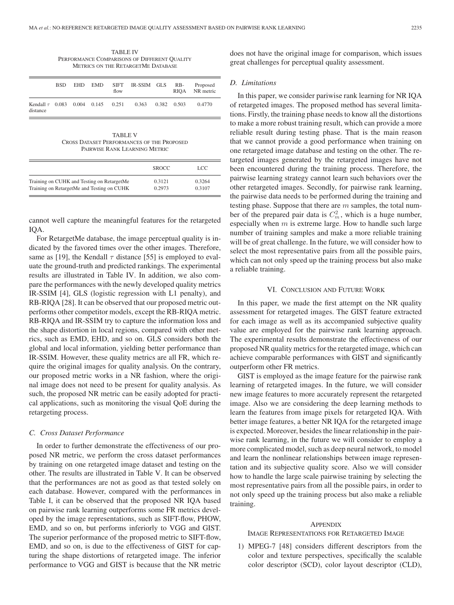| <b>TABLE IV</b>                              |
|----------------------------------------------|
| PERFORMANCE COMPARISONS OF DIFFERENT QUALITY |
| <b>METRICS ON THE RETARGETME DATABASE</b>    |

|                                                    | BSD. | EHD. | EMD. | flow | SIFT IR-SSIM GLS RB- |             | <b>RIOA</b> | Proposed<br>NR metric |
|----------------------------------------------------|------|------|------|------|----------------------|-------------|-------------|-----------------------|
| Kendall $\tau$ 0.083 0.004 0.145 0.251<br>distance |      |      |      |      | 0.363                | 0.382 0.503 |             | 0.4770                |

TABLE V CROSS DATASET PERFORMANCES OF THE PROPOSED PAIRWISE RANK LEARNING METRIC

|                                            | <b>SROCC</b> | LCC    |
|--------------------------------------------|--------------|--------|
| Training on CUHK and Testing on RetargetMe | 0.3121       | 0.3264 |
| Training on RetargetMe and Testing on CUHK | 0.2973       | 0.3107 |

cannot well capture the meaningful features for the retargeted IQA.

For RetargetMe database, the image perceptual quality is indicated by the favored times over the other images. Therefore, same as [19], the Kendall  $\tau$  distance [55] is employed to evaluate the ground-truth and predicted rankings. The experimental results are illustrated in Table IV. In addition, we also compare the performances with the newly developed quality metrics IR-SSIM [4], GLS (logistic regression with L1 penalty), and RB-RIQA [28]. It can be observed that our proposed metric outperforms other competitor models, except the RB-RIQA metric. RB-RIQA and IR-SSIM try to capture the information loss and the shape distortion in local regions, compared with other metrics, such as EMD, EHD, and so on. GLS considers both the global and local information, yielding better performance than IR-SSIM. However, these quality metrics are all FR, which require the original images for quality analysis. On the contrary, our proposed metric works in a NR fashion, where the original image does not need to be present for quality analysis. As such, the proposed NR metric can be easily adopted for practical applications, such as monitoring the visual QoE during the retargeting process.

## *C. Cross Dataset Performance*

In order to further demonstrate the effectiveness of our proposed NR metric, we perform the cross dataset performances by training on one retargeted image dataset and testing on the other. The results are illustrated in Table V. It can be observed that the performances are not as good as that tested solely on each database. However, compared with the performances in Table I, it can be observed that the proposed NR IQA based on pairwise rank learning outperforms some FR metrics developed by the image representations, such as SIFT-flow, PHOW, EMD, and so on, but performs inferiorly to VGG and GIST. The superior performance of the proposed metric to SIFT-flow, EMD, and so on, is due to the effectiveness of GIST for capturing the shape distortions of retargeted image. The inferior performance to VGG and GIST is because that the NR metric

does not have the original image for comparison, which issues great challenges for perceptual quality assessment.

## *D. Limitations*

In this paper, we consider pariwise rank learning for NR IQA of retargeted images. The proposed method has several limitations. Firstly, the training phase needs to know all the distortions to make a more robust training result, which can provide a more reliable result during testing phase. That is the main reason that we cannot provide a good performance when training on one retargeted image database and testing on the other. The retargeted images generated by the retargeted images have not been encountered during the training process. Therefore, the pairwise learning strategy cannot learn such behaviors over the other retargeted images. Secondly, for pairwise rank learning, the pairwise data needs to be performed during the training and testing phase. Suppose that there are  $m$  samples, the total number of the prepared pair data is  $C_m^2$ , which is a huge number, especially when  $m$  is extreme large. How to handle such large number of training samples and make a more reliable training will be of great challenge. In the future, we will consider how to select the most representative pairs from all the possible pairs, which can not only speed up the training process but also make a reliable training.

#### VI. CONCLUSION AND FUTURE WORK

In this paper, we made the first attempt on the NR quality assessment for retargeted images. The GIST feature extracted for each image as well as its accompanied subjective quality value are employed for the pairwise rank learning approach. The experimental results demonstrate the effectiveness of our proposed NR quality metrics for the retargeted image, which can achieve comparable performances with GIST and significantly outperform other FR metrics.

GIST is employed as the image feature for the pairwise rank learning of retargeted images. In the future, we will consider new image features to more accurately represent the retargeted image. Also we are considering the deep learning methods to learn the features from image pixels for retargeted IQA. With better image features, a better NR IQA for the retargeted image is expected. Moreover, besides the linear relationship in the pairwise rank learning, in the future we will consider to employ a more complicated model, such as deep neural network, to model and learn the nonlinear relationships between image representation and its subjective quality score. Also we will consider how to handle the large scale pairwise training by selecting the most representative pairs from all the possible pairs, in order to not only speed up the training process but also make a reliable training.

#### **APPENDIX**

### IMAGE REPRESENTATIONS FOR RETARGETED IMAGE

1) MPEG-7 [48] considers different descriptors from the color and texture perspectives, specifically the scalable color descriptor (SCD), color layout descriptor (CLD),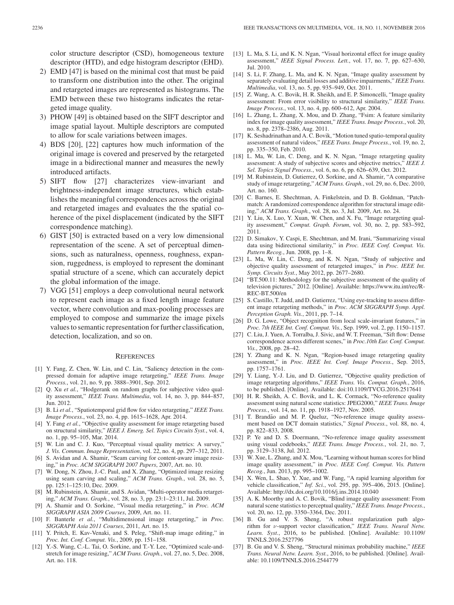color structure descriptor (CSD), homogeneous texture descriptor (HTD), and edge histogram descriptor (EHD).

- 2) EMD [47] is based on the minimal cost that must be paid to transform one distribution into the other. The original and retargeted images are represented as histograms. The EMD between these two histograms indicates the retargeted image quality.
- 3) PHOW [49] is obtained based on the SIFT descriptor and image spatial layout. Multiple descriptors are computed to allow for scale variations between images.
- 4) BDS [20], [22] captures how much information of the original image is covered and preserved by the retargeted image in a bidirectional manner and measures the newly introduced artifacts.
- 5) SIFT flow [27] characterizes view-invariant and brightness-independent image structures, which establishes the meaningful correspondences across the original and retargeted images and evaluates the the spatial coherence of the pixel displacement (indicated by the SIFT correspondence matching).
- 6) GIST [50] is extracted based on a very low dimensional representation of the scene. A set of perceptual dimensions, such as naturalness, openness, roughness, expansion, ruggedness, is employed to represent the dominant spatial structure of a scene, which can accurately depict the global information of the image.
- 7) VGG [51] employs a deep convolutional neural network to represent each image as a fixed length image feature vector, where convolution and max-pooling processes are employed to compose and summarize the image pixels values to semantic representation for further classification, detection, localization, and so on.

#### **REFERENCES**

- [1] Y. Fang, Z. Chen, W. Lin, and C. Lin, "Saliency detection in the compressed domain for adaptive image retargeting," *IEEE Trans. Image Process.*, vol. 21, no. 9, pp. 3888–3901, Sep. 2012.
- [2] Q. Xu *et al.*, "Hodgerank on random graphs for subjective video quality assessment," *IEEE Trans. Multimedia*, vol. 14, no. 3, pp. 844–857, Jun. 2012.
- [3] B. Li *et al.*, "Spatiotemporal grid flow for video retargeting," *IEEE Trans. Image Process.*, vol. 23, no. 4, pp. 1615–1628, Apr. 2014.
- [4] Y. Fang *et al.*, "Objective quality assessment for image retargeting based on structural similarity," *IEEE J. Emerg. Sel. Topics Circuits Syst.*, vol. 4, no. 1, pp. 95–105, Mar. 2014.
- [5] W. Lin and C. J. Kuo, "Perceptual visual quality metrics: A survey," *J. Vis. Commun. Image Representation*, vol. 22, no. 4, pp. 297–312, 2011.
- [6] S. Avidan and A. Shamir, "Seam carving for content-aware image resizing," in *Proc. ACM SIGGRAPH 2007 Papers*, 2007, Art. no. 10.
- [7] W. Dong, N. Zhou, J.-C. Paul, and X. Zhang, "Optimized image resizing using seam carving and scaling," *ACM Trans. Graph.*, vol. 28, no. 5, pp. 125:1–125:10, Dec. 2009.
- [8] M. Rubinstein, A. Shamir, and S. Avidan, "Multi-operator media retargeting," *ACM Trans. Graph.*, vol. 28, no. 3, pp. 23:1–23:11, Jul. 2009.
- [9] A. Shamir and O. Sorkine, "Visual media retargeting," in *Proc. ACM SIGGRAPH ASIA 2009 Courses*, 2009, Art. no. 11.
- [10] F. Banterle *et al.*, "Multidimensional image retargeting," in *Proc. SIGGRAPH Asia 2011 Courses*, 2011, Art. no. 15.
- [11] Y. Pritch, E. Kav-Venaki, and S. Peleg, "Shift-map image editing," in *Proc. Int. Conf. Comput. Vis.*, 2009, pp. 151–158.
- [12] Y.-S. Wang, C.-L. Tai, O. Sorkine, and T.-Y. Lee, "Optimized scale-andstretch for image resizing," *ACM Trans. Graph.*, vol. 27, no. 5, Dec. 2008, Art. no. 118.
- [13] L. Ma, S. Li, and K. N. Ngan, "Visual horizontal effect for image quality assessment," *IEEE Signal Process. Lett.*, vol. 17, no. 7, pp. 627–630, Jul. 2010.
- [14] S. Li, F. Zhang, L. Ma, and K. N. Ngan, "Image quality assessment by separately evaluating detail losses and additive impairments," *IEEE Trans. Multimedia*, vol. 13, no. 5, pp. 935–949, Oct. 2011.
- [15] Z. Wang, A. C. Bovik, H. R. Sheikh, and E. P. Simoncelli, "Image quality" assessment: From error visibility to structural similarity," *IEEE Trans. Image Process.*, vol. 13, no. 4, pp. 600–612, Apr. 2004.
- [16] L. Zhang, L. Zhang, X. Mou, and D. Zhang, "Fsim: A feature similarity index for image quality assessment," *IEEE Trans. Image Process.*, vol. 20, no. 8, pp. 2378–2386, Aug. 2011.
- [17] K. Seshadrinathan and A. C. Bovik, "Motion tuned spatio-temporal quality assessment of natural videos," *IEEE Trans. Image Process.*, vol. 19, no. 2, pp. 335–350, Feb. 2010.
- [18] L. Ma, W. Lin, C. Deng, and K. N. Ngan, "Image retargeting quality assessment: A study of subjective scores and objective metrics," *IEEE J. Sel. Topics Signal Process.*, vol. 6, no. 6, pp. 626–639, Oct. 2012.
- [19] M. Rubinstein, D. Gutierrez, O. Sorkine, and A. Shamir, "A comparative study of image retargeting," *ACM Trans. Graph.*, vol. 29, no. 6, Dec. 2010, Art. no. 160.
- [20] C. Barnes, E. Shechtman, A. Finkelstein, and D. B. Goldman, "Patchmatch: A randomized correspondence algorithm for structural image editing," *ACM Trans. Graph.*, vol. 28, no. 3, Jul. 2009, Art. no. 24.
- [21] Y. Liu, X. Luo, Y. Xuan, W. Chen, and X. Fu, "Image retargeting quality assessment," *Comput. Graph. Forum*, vol. 30, no. 2, pp. 583–592, 2011.
- [22] D. Simakov, Y. Caspi, E. Shechtman, and M. Irani, "Summarizing visual data using bidirectional similarity," in *Proc. IEEE Conf. Comput. Vis. Pattern Recog.*, Jun. 2008, pp. 1–8.
- [23] L. Ma, W. Lin, C. Deng, and K. N. Ngan, "Study of subjective and objective quality assessment of retargeted images," in *Proc. IEEE Int. Symp. Circuits Syst.*, May 2012, pp. 2677–2680.
- [24] "BT.500.11: Methodology for the subjective assessment of the quality of television pictures," 2012. [Online]. Available: https://www.itu.int/rec/R-REC-BT.500/en
- [25] S. Castillo, T. Judd, and D. Gutierrez, "Using eye-tracking to assess different image retargeting methods," in *Proc. ACM SIGGRAPH Symp. Appl. Perception Graph. Vis.*, 2011, pp. 7–14.
- [26] D. G. Lowe, "Object recognition from local scale-invariant features," in *Proc. 7th IEEE Int. Conf. Comput. Vis.*, Sep. 1999, vol. 2, pp. 1150–1157.
- [27] C. Liu, J. Yuen, A. Torralba, J. Sivic, and W. T. Freeman, "Sift flow: Dense correspondence across different scenes," in *Proc.10th Eur. Conf. Comput. Vis.*, 2008, pp. 28–42.
- [28] Y. Zhang and K. N. Ngan, "Region-based image retargeting quality assessment," in *Proc. IEEE Int. Conf. Image Process.*, Sep. 2015, pp. 1757–1761.
- [29] Y. Liang, Y.-J. Liu, and D. Gutierrez, "Objective quality prediction of image retargeting algorithms," *IEEE Trans. Vis. Comput. Graph.*, 2016, to be published. [Online]. Available: doi:10.1109/TVCG.2016.2517641
- [30] H. R. Sheikh, A. C. Bovik, and L. K. Cormack, "No-reference quality assessment using natural scene statistics: JPEG2000," *IEEE Trans. Image Process.*, vol. 14, no. 11, pp. 1918–1927, Nov. 2005.
- [31] T. Brandão and M. P. Queluz, "No-reference image quality assessment based on DCT domain statistics," *Signal Process.*, vol. 88, no. 4, pp. 822–833, 2008.
- [32] P. Ye and D. S. Doermann, "No-reference image quality assessment using visual codebooks," *IEEE Trans. Image Process.*, vol. 21, no. 7, pp. 3129–3138, Jul. 2012.
- [33] W. Xue, L. Zhang, and X. Mou, "Learning without human scores for blind image quality assessment," in *Proc. IEEE Conf. Comput. Vis. Pattern Recog.*, Jun. 2013, pp. 995–1002.
- [34] X. Wen, L. Shao, Y. Xue, and W. Fang, "A rapid learning algorithm for vehicle classification," *Inf. Sci.*, vol. 295, pp. 395–406, 2015. [Online]. Available: http://dx.doi.org/10.1016/j.ins.2014.10.040
- [35] A. K. Moorthy and A. C. Bovik, "Blind image quality assessment: From natural scene statistics to perceptual quality," *IEEE Trans. Image Process.*, vol. 20, no. 12, pp. 3350–3364, Dec. 2011.
- [36] B. Gu and V. S. Sheng, "A robust regularization path algorithm for ν-support vector classification," *IEEE Trans. Neural Netw. Learn. Syst.*, 2016, to be published. [Online]. Available: 10.1109/ TNNLS.2016.2527796
- [37] B. Gu and V. S. Sheng, "Structural minimax probability machine," *IEEE Trans. Neural Netw. Learn. Syst.*, 2016, to be published. [Online]. Available: 10.1109/TNNLS.2016.2544779